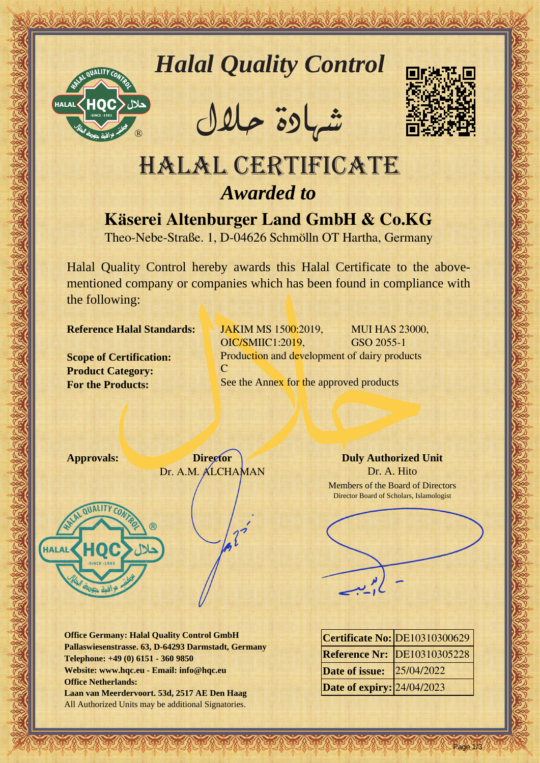



REACTOR AND THE REAL PROPERTY OF THE REAL PROPERTY

�شهادة حالل



## Halal Certificate *Awarded to*

**Käserei Altenburger Land GmbH & Co.KG**

Theo-Nebe-Straße. 1, D-04626 Schmölln OT Hartha, Germany

Halal Quality Control hereby awards this Halal Certificate to the abovementioned company or companies which has been found in compliance with the following:

**Reference Halal Standards:**

**Scope of Certification: Product Category: For the Products:**

JAKIM MS 1500:2019, MUI HAS 23000, OIC/SMIIC1:2019, GSO 2055-1 Production and development of dairy products C See the Annex for the approved products



**Office Germany: Halal Quality Control GmbH Pallaswiesenstrasse. 63, D-64293 Darmstadt, Germany Telephone: +49 (0) 6151 - 360 9850 Website: www.hqc.eu - Email: info@hqc.eu Office Netherlands: Laan van Meerdervoort. 53d, 2517 AE Den Haag** All Authorized Units may be additional Signatories.

**Duly Authorized Unit** Dr. A. Hito Members of the Board of Directors Director Board of Scholars, Islamologist



|                                   | Certificate No: DE10310300629      |
|-----------------------------------|------------------------------------|
|                                   | <b>Reference Nr: DE10310305228</b> |
| <b>Date of issue:</b> 25/04/2022  |                                    |
| <b>Date of expiry: 24/04/2023</b> |                                    |

Page 1/3